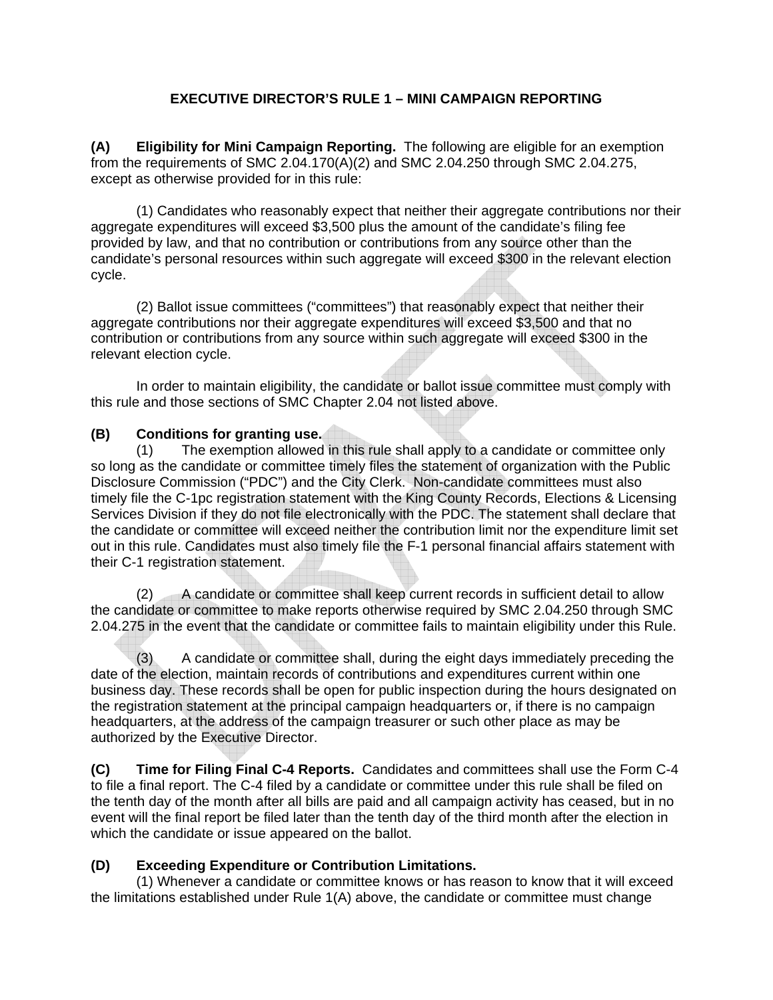## **EXECUTIVE DIRECTOR'S RULE 1 – MINI CAMPAIGN REPORTING**

**(A) Eligibility for Mini Campaign Reporting.** The following are eligible for an exemption from the requirements of SMC 2.04.170(A)(2) and SMC 2.04.250 through SMC 2.04.275, except as otherwise provided for in this rule:

(1) Candidates who reasonably expect that neither their aggregate contributions nor their aggregate expenditures will exceed \$3,500 plus the amount of the candidate's filing fee provided by law, and that no contribution or contributions from any source other than the candidate's personal resources within such aggregate will exceed \$300 in the relevant election cycle.

(2) Ballot issue committees ("committees") that reasonably expect that neither their aggregate contributions nor their aggregate expenditures will exceed \$3,500 and that no contribution or contributions from any source within such aggregate will exceed \$300 in the relevant election cycle.

In order to maintain eligibility, the candidate or ballot issue committee must comply with this rule and those sections of SMC Chapter 2.04 not listed above.

## **(B) Conditions for granting use.**

(1) The exemption allowed in this rule shall apply to a candidate or committee only so long as the candidate or committee timely files the statement of organization with the Public Disclosure Commission ("PDC") and the City Clerk. Non-candidate committees must also timely file the C-1pc registration statement with the King County Records, Elections & Licensing Services Division if they do not file electronically with the PDC. The statement shall declare that the candidate or committee will exceed neither the contribution limit nor the expenditure limit set out in this rule. Candidates must also timely file the F-1 personal financial affairs statement with their C-1 registration statement.

(2) A candidate or committee shall keep current records in sufficient detail to allow the candidate or committee to make reports otherwise required by SMC 2.04.250 through SMC 2.04.275 in the event that the candidate or committee fails to maintain eligibility under this Rule.

(3) A candidate or committee shall, during the eight days immediately preceding the date of the election, maintain records of contributions and expenditures current within one business day. These records shall be open for public inspection during the hours designated on the registration statement at the principal campaign headquarters or, if there is no campaign headquarters, at the address of the campaign treasurer or such other place as may be authorized by the Executive Director.

**(C) Time for Filing Final C-4 Reports.** Candidates and committees shall use the Form C-4 to file a final report. The C-4 filed by a candidate or committee under this rule shall be filed on the tenth day of the month after all bills are paid and all campaign activity has ceased, but in no event will the final report be filed later than the tenth day of the third month after the election in which the candidate or issue appeared on the ballot.

## **(D) Exceeding Expenditure or Contribution Limitations.**

(1) Whenever a candidate or committee knows or has reason to know that it will exceed the limitations established under Rule 1(A) above, the candidate or committee must change